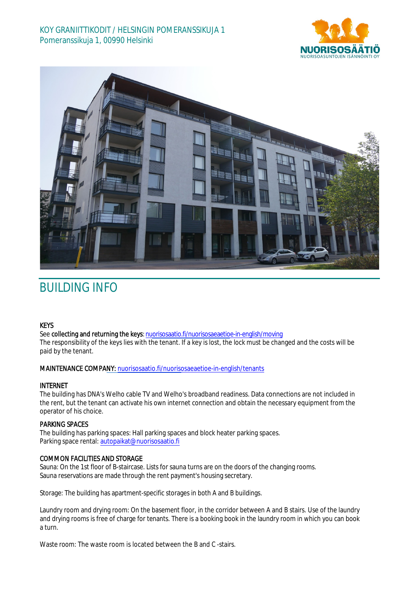



# BUILDING INFO

### **KEYS**

See collecting and returning the keys: n[uorisosaatio.fi/nuorisosaeaetioe](http://www.nuorisosaatio.fi/muuttajalle)-in-english/moving The responsibility of the keys lies with the tenant. If a key is lost, the lock must be changed and the costs will be paid by the tenant.

### MAINTENANCE COMPANY: [nuorisosaatio.fi/nuoriso](http://www.nuorisosaatio.fi/asukkaalle)saeaetioe-in-english/tenants

## INTERNET

The building has DNA's Welho cable TV and Welho's broadband readiness. Data connections are not included in the rent, but the tenant can activate his own internet connection and obtain the necessary equipment from the operator of his choice.

## PARKING SPACES

The building has parking spaces: Hall parking spaces and block heater parking spaces. Parking space rental: autopaikat@nuorisosaatio.fi

## COMMON FACILITIES AND STORAGE

Sauna: On the 1st floor of B-staircase. Lists for sauna turns are on the doors of the changing rooms. Sauna reservations are made through the rent payment's housing secretary.

Storage: The building has apartment-specific storages in both A and B buildings.

Laundry room and drying room: On the basement floor, in the corridor between A and B stairs. Use of the laundry and drying rooms is free of charge for tenants. There is a booking book in the laundry room in which you can book a turn.

Waste room: The waste room is located between the B and C -stairs.